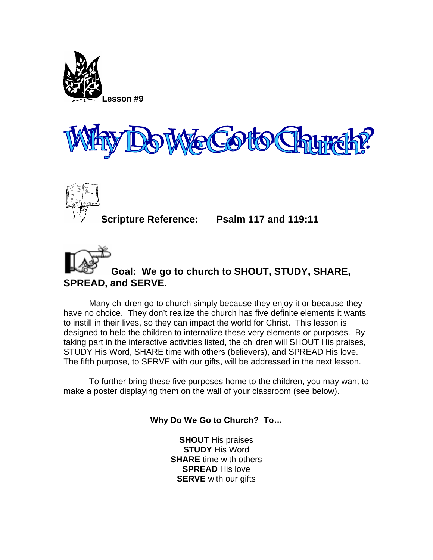





**Scripture Reference: Psalm 117 and 119:11** 

## **Goal: We go to church to SHOUT, STUDY, SHARE, SPREAD, and SERVE.**

Many children go to church simply because they enjoy it or because they have no choice. They don't realize the church has five definite elements it wants to instill in their lives, so they can impact the world for Christ. This lesson is designed to help the children to internalize these very elements or purposes. By taking part in the interactive activities listed, the children will SHOUT His praises, STUDY His Word, SHARE time with others (believers), and SPREAD His love. The fifth purpose, to SERVE with our gifts, will be addressed in the next lesson.

To further bring these five purposes home to the children, you may want to make a poster displaying them on the wall of your classroom (see below).

**Why Do We Go to Church? To…** 

**SHOUT** His praises **STUDY** His Word **SHARE** time with others **SPREAD** His love **SERVE** with our gifts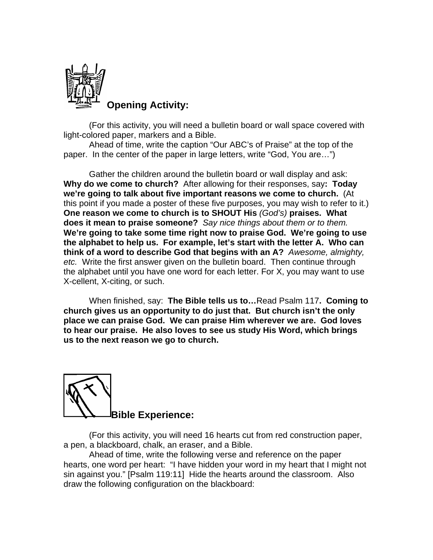

**Opening Activity:** 

(For this activity, you will need a bulletin board or wall space covered with light-colored paper, markers and a Bible.

Ahead of time, write the caption "Our ABC's of Praise" at the top of the paper. In the center of the paper in large letters, write "God, You are…")

Gather the children around the bulletin board or wall display and ask: **Why do we come to church?** After allowing for their responses, say**: Today we're going to talk about five important reasons we come to church.** (At this point if you made a poster of these five purposes, you may wish to refer to it.) **One reason we come to church is to SHOUT His** *(God's)* **praises. What does it mean to praise someone?** *Say nice things about them or to them.* **We're going to take some time right now to praise God. We're going to use the alphabet to help us. For example, let's start with the letter A. Who can think of a word to describe God that begins with an A?** *Awesome, almighty, etc.* Write the first answer given on the bulletin board. Then continue through the alphabet until you have one word for each letter. For X, you may want to use X-cellent, X-citing, or such.

When finished, say: **The Bible tells us to…**Read Psalm 117**. Coming to church gives us an opportunity to do just that. But church isn't the only place we can praise God. We can praise Him wherever we are. God loves to hear our praise. He also loves to see us study His Word, which brings us to the next reason we go to church.** 



(For this activity, you will need 16 hearts cut from red construction paper, a pen, a blackboard, chalk, an eraser, and a Bible.

Ahead of time, write the following verse and reference on the paper hearts, one word per heart: "I have hidden your word in my heart that I might not sin against you." [Psalm 119:11] Hide the hearts around the classroom. Also draw the following configuration on the blackboard: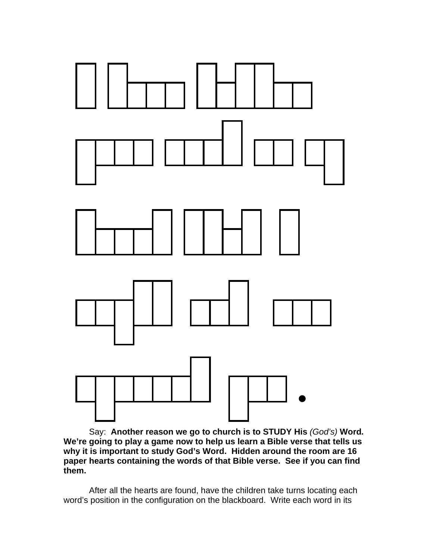

 Say: **Another reason we go to church is to STUDY His** *(God's)* **Word***.*  **We're going to play a game now to help us learn a Bible verse that tells us why it is important to study God's Word. Hidden around the room are 16 paper hearts containing the words of that Bible verse. See if you can find them.** 

After all the hearts are found, have the children take turns locating each word's position in the configuration on the blackboard. Write each word in its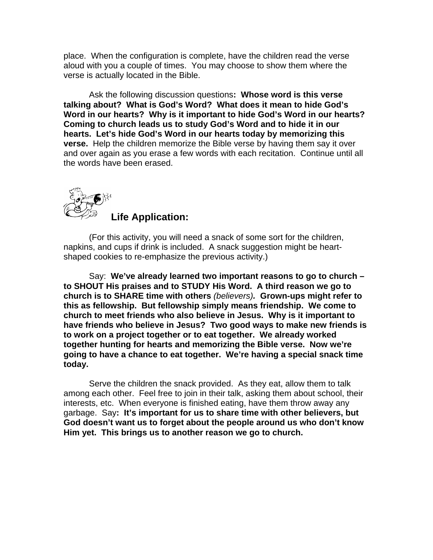place. When the configuration is complete, have the children read the verse aloud with you a couple of times. You may choose to show them where the verse is actually located in the Bible.

Ask the following discussion questions**: Whose word is this verse talking about? What is God's Word? What does it mean to hide God's Word in our hearts? Why is it important to hide God's Word in our hearts? Coming to church leads us to study God's Word and to hide it in our hearts. Let's hide God's Word in our hearts today by memorizing this verse.** Help the children memorize the Bible verse by having them say it over and over again as you erase a few words with each recitation. Continue until all the words have been erased.



(For this activity, you will need a snack of some sort for the children, napkins, and cups if drink is included. A snack suggestion might be heartshaped cookies to re-emphasize the previous activity.)

 Say: **We've already learned two important reasons to go to church – to SHOUT His praises and to STUDY His Word. A third reason we go to church is to SHARE time with others** *(believers).* **Grown-ups might refer to this as fellowship. But fellowship simply means friendship. We come to church to meet friends who also believe in Jesus. Why is it important to have friends who believe in Jesus? Two good ways to make new friends is to work on a project together or to eat together. We already worked together hunting for hearts and memorizing the Bible verse. Now we're going to have a chance to eat together. We're having a special snack time today.**

Serve the children the snack provided. As they eat, allow them to talk among each other. Feel free to join in their talk, asking them about school, their interests, etc. When everyone is finished eating, have them throw away any garbage. Say**: It's important for us to share time with other believers, but God doesn't want us to forget about the people around us who don't know Him yet. This brings us to another reason we go to church.**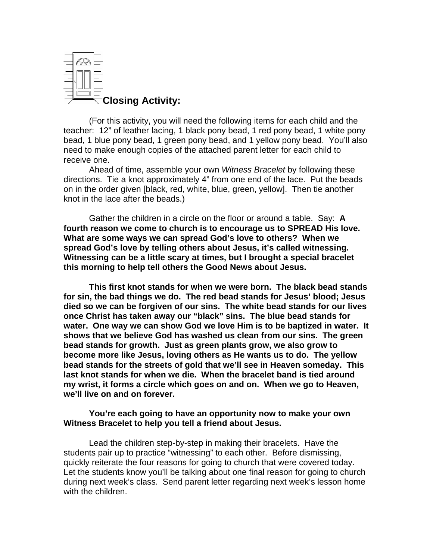

(For this activity, you will need the following items for each child and the teacher: 12" of leather lacing, 1 black pony bead, 1 red pony bead, 1 white pony bead, 1 blue pony bead, 1 green pony bead, and 1 yellow pony bead. You'll also need to make enough copies of the attached parent letter for each child to receive one.

Ahead of time, assemble your own *Witness Bracelet* by following these directions. Tie a knot approximately 4" from one end of the lace. Put the beads on in the order given [black, red, white, blue, green, yellow]. Then tie another knot in the lace after the beads.)

Gather the children in a circle on the floor or around a table. Say: **A fourth reason we come to church is to encourage us to SPREAD His love. What are some ways we can spread God's love to others? When we spread God's love by telling others about Jesus, it's called witnessing. Witnessing can be a little scary at times, but I brought a special bracelet this morning to help tell others the Good News about Jesus.** 

**This first knot stands for when we were born. The black bead stands for sin, the bad things we do. The red bead stands for Jesus' blood; Jesus died so we can be forgiven of our sins. The white bead stands for our lives once Christ has taken away our "black" sins. The blue bead stands for water. One way we can show God we love Him is to be baptized in water. It shows that we believe God has washed us clean from our sins. The green bead stands for growth. Just as green plants grow, we also grow to become more like Jesus, loving others as He wants us to do. The yellow bead stands for the streets of gold that we'll see in Heaven someday. This last knot stands for when we die. When the bracelet band is tied around my wrist, it forms a circle which goes on and on. When we go to Heaven, we'll live on and on forever.** 

## **You're each going to have an opportunity now to make your own Witness Bracelet to help you tell a friend about Jesus.**

Lead the children step-by-step in making their bracelets. Have the students pair up to practice "witnessing" to each other. Before dismissing, quickly reiterate the four reasons for going to church that were covered today. Let the students know you'll be talking about one final reason for going to church during next week's class. Send parent letter regarding next week's lesson home with the children.